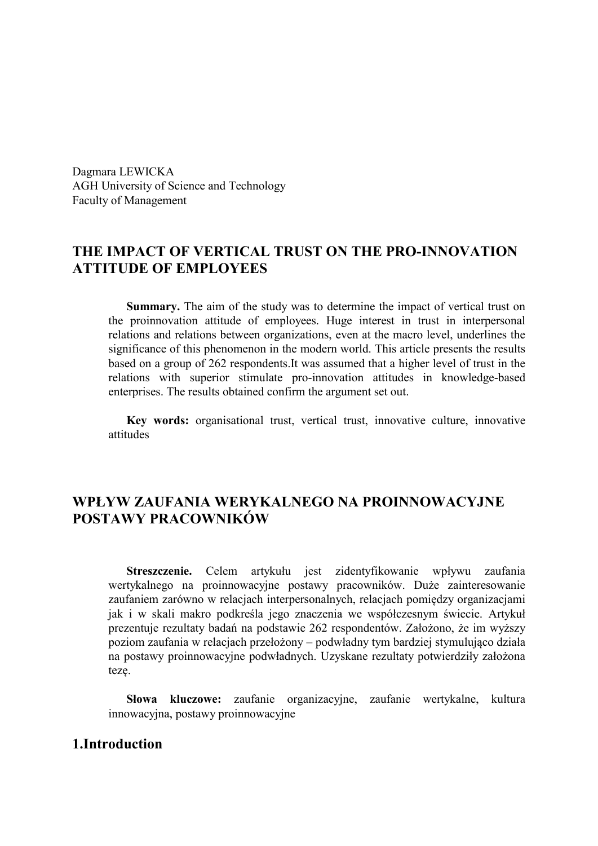Dagmara LEWICKA AGH University of Science and Technology Faculty of Management

# **THE IMPACT OF VERTICAL TRUST ON THE PRO-INNOVATION ATTITUDE OF EMPLOYEES**

**Summary.** The aim of the study was to determine the impact of vertical trust on the proinnovation attitude of employees. Huge interest in trust in interpersonal relations and relations between organizations, even at the macro level, underlines the significance of this phenomenon in the modern world. This article presents the results based on a group of 262 respondents.It was assumed that a higher level of trust in the relations with superior stimulate pro-innovation attitudes in knowledge-based enterprises. The results obtained confirm the argument set out.

**Key words:** organisational trust, vertical trust, innovative culture, innovative attitudes

## **WPŁYW ZAUFANIA WERYKALNEGO NA PROINNOWACYJNE POSTAWY PRACOWNIKÓW**

**Streszczenie.** Celem artykułu jest zidentyfikowanie wpływu zaufania wertykalnego na proinnowacyjne postawy pracowników. Duże zainteresowanie zaufaniem zarówno w relacjach interpersonalnych, relacjach pomiędzy organizacjami jak i w skali makro podkreśla jego znaczenia we współczesnym świecie. Artykuł prezentuje rezultaty badań na podstawie 262 respondentów. Założono, że im wyższy poziom zaufania w relacjach przełożony – podwładny tym bardziej stymulująco działa na postawy proinnowacyjne podwładnych. Uzyskane rezultaty potwierdziły założona tezę.

**Słowa kluczowe:** zaufanie organizacyjne, zaufanie wertykalne, kultura innowacyjna, postawy proinnowacyjne

## **1.Introduction**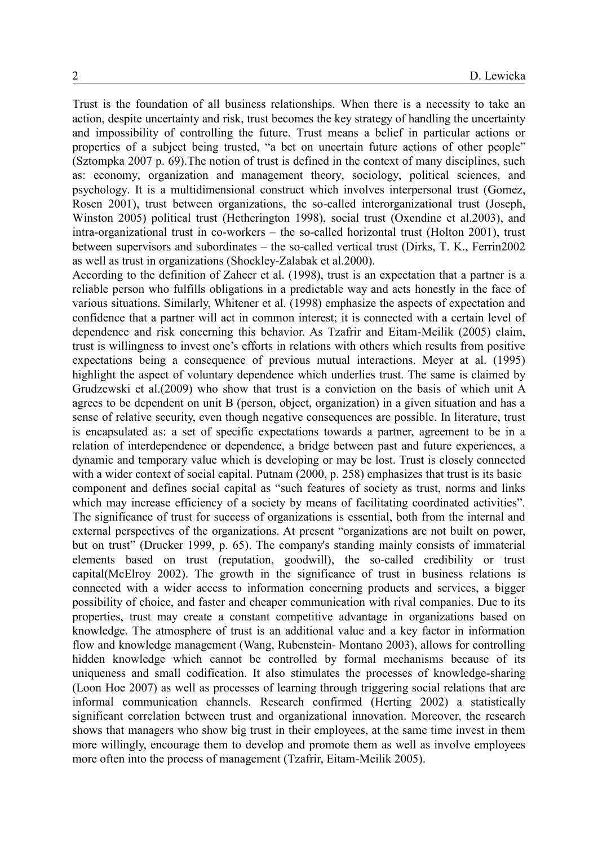Trust is the foundation of all business relationships. When there is a necessity to take an action, despite uncertainty and risk, trust becomes the key strategy of handling the uncertainty and impossibility of controlling the future. Trust means a belief in particular actions or properties of a subject being trusted, "a bet on uncertain future actions of other people" (Sztompka 2007 p. 69).The notion of trust is defined in the context of many disciplines, such as: economy, organization and management theory, sociology, political sciences, and psychology. It is a multidimensional construct which involves interpersonal trust (Gomez, Rosen 2001), trust between organizations, the so-called interorganizational trust (Joseph, Winston 2005) political trust (Hetherington 1998), social trust (Oxendine et al.2003), and intra-organizational trust in co-workers – the so-called horizontal trust (Holton 2001), trust between supervisors and subordinates – the so-called vertical trust (Dirks, T. K., Ferrin2002 as well as trust in organizations (Shockley-Zalabak et al.2000).

According to the definition of Zaheer et al. (1998), trust is an expectation that a partner is a reliable person who fulfills obligations in a predictable way and acts honestly in the face of various situations. Similarly, Whitener et al. (1998) emphasize the aspects of expectation and confidence that a partner will act in common interest; it is connected with a certain level of dependence and risk concerning this behavior. As Tzafrir and Eitam-Meilik (2005) claim, trust is willingness to invest one's efforts in relations with others which results from positive expectations being a consequence of previous mutual interactions. Meyer at al. (1995) highlight the aspect of voluntary dependence which underlies trust. The same is claimed by Grudzewski et al.(2009) who show that trust is a conviction on the basis of which unit A agrees to be dependent on unit B (person, object, organization) in a given situation and has a sense of relative security, even though negative consequences are possible. In literature, trust is encapsulated as: a set of specific expectations towards a partner, agreement to be in a relation of interdependence or dependence, a bridge between past and future experiences, a dynamic and temporary value which is developing or may be lost. Trust is closely connected with a wider context of social capital. Putnam (2000, p. 258) emphasizes that trust is its basic component and defines social capital as "such features of society as trust, norms and links which may increase efficiency of a society by means of facilitating coordinated activities". The significance of trust for success of organizations is essential, both from the internal and external perspectives of the organizations. At present "organizations are not built on power, but on trust" (Drucker 1999, p. 65). The company's standing mainly consists of immaterial elements based on trust (reputation, goodwill), the so-called credibility or trust capital(McElroy 2002). The growth in the significance of trust in business relations is connected with a wider access to information concerning products and services, a bigger possibility of choice, and faster and cheaper communication with rival companies. Due to its properties, trust may create a constant competitive advantage in organizations based on knowledge. The atmosphere of trust is an additional value and a key factor in information flow and knowledge management (Wang, Rubenstein- Montano 2003), allows for controlling hidden knowledge which cannot be controlled by formal mechanisms because of its uniqueness and small codification. It also stimulates the processes of knowledge-sharing (Loon Hoe 2007) as well as processes of learning through triggering social relations that are informal communication channels. Research confirmed (Herting 2002) a statistically significant correlation between trust and organizational innovation. Moreover, the research shows that managers who show big trust in their employees, at the same time invest in them more willingly, encourage them to develop and promote them as well as involve employees more often into the process of management (Tzafrir, Eitam-Meilik 2005).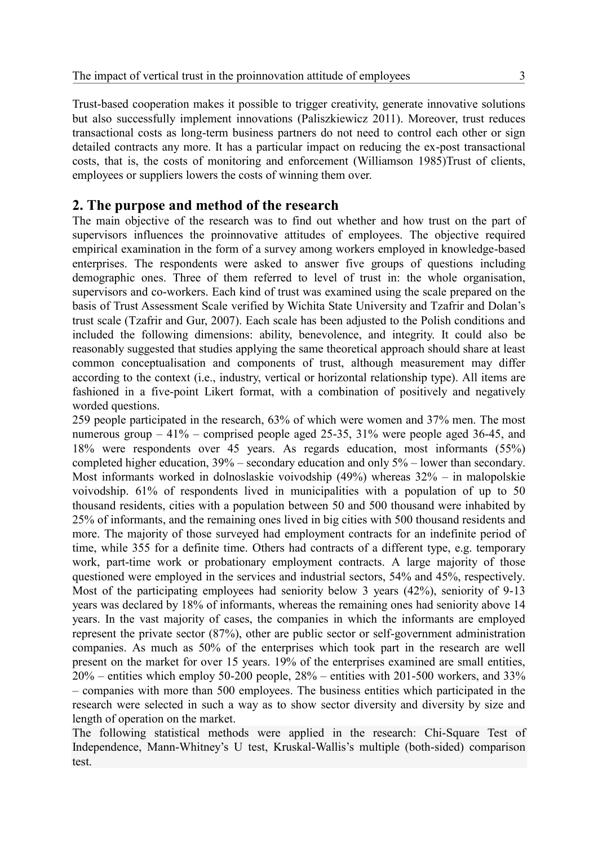Trust-based cooperation makes it possible to trigger creativity, generate innovative solutions but also successfully implement innovations (Paliszkiewicz 2011). Moreover, trust reduces transactional costs as long-term business partners do not need to control each other or sign detailed contracts any more. It has a particular impact on reducing the ex-post transactional costs, that is, the costs of monitoring and enforcement (Williamson 1985)Trust of clients, employees or suppliers lowers the costs of winning them over.

## **2. The purpose and method of the research**

The main objective of the research was to find out whether and how trust on the part of supervisors influences the proinnovative attitudes of employees. The objective required empirical examination in the form of a survey among workers employed in knowledge-based enterprises. The respondents were asked to answer five groups of questions including demographic ones. Three of them referred to level of trust in: the whole organisation, supervisors and co-workers. Each kind of trust was examined using the scale prepared on the basis of Trust Assessment Scale verified by Wichita State University and Tzafrir and Dolan's trust scale (Tzafrir and Gur, 2007). Each scale has been adjusted to the Polish conditions and included the following dimensions: ability, benevolence, and integrity. It could also be reasonably suggested that studies applying the same theoretical approach should share at least common conceptualisation and components of trust, although measurement may differ according to the context (i.e., industry, vertical or horizontal relationship type). All items are fashioned in a five-point Likert format, with a combination of positively and negatively worded questions.

259 people participated in the research, 63% of which were women and 37% men. The most numerous group – 41% – comprised people aged 25-35, 31% were people aged 36-45, and 18% were respondents over 45 years. As regards education, most informants (55%) completed higher education, 39% – secondary education and only 5% – lower than secondary. Most informants worked in dolnoslaskie voivodship (49%) whereas 32% – in malopolskie voivodship. 61% of respondents lived in municipalities with a population of up to 50 thousand residents, cities with a population between 50 and 500 thousand were inhabited by 25% of informants, and the remaining ones lived in big cities with 500 thousand residents and more. The majority of those surveyed had employment contracts for an indefinite period of time, while 355 for a definite time. Others had contracts of a different type, e.g. temporary work, part-time work or probationary employment contracts. A large majority of those questioned were employed in the services and industrial sectors, 54% and 45%, respectively. Most of the participating employees had seniority below 3 years (42%), seniority of 9-13 years was declared by 18% of informants, whereas the remaining ones had seniority above 14 years. In the vast majority of cases, the companies in which the informants are employed represent the private sector (87%), other are public sector or self-government administration companies. As much as 50% of the enterprises which took part in the research are well present on the market for over 15 years. 19% of the enterprises examined are small entities,  $20\%$  – entities which employ 50-200 people,  $28\%$  – entities with 201-500 workers, and 33% – companies with more than 500 employees. The business entities which participated in the research were selected in such a way as to show sector diversity and diversity by size and length of operation on the market.

The following statistical methods were applied in the research: Chi-Square Test of Independence, Mann-Whitney's U test, Kruskal-Wallis's multiple (both-sided) comparison test.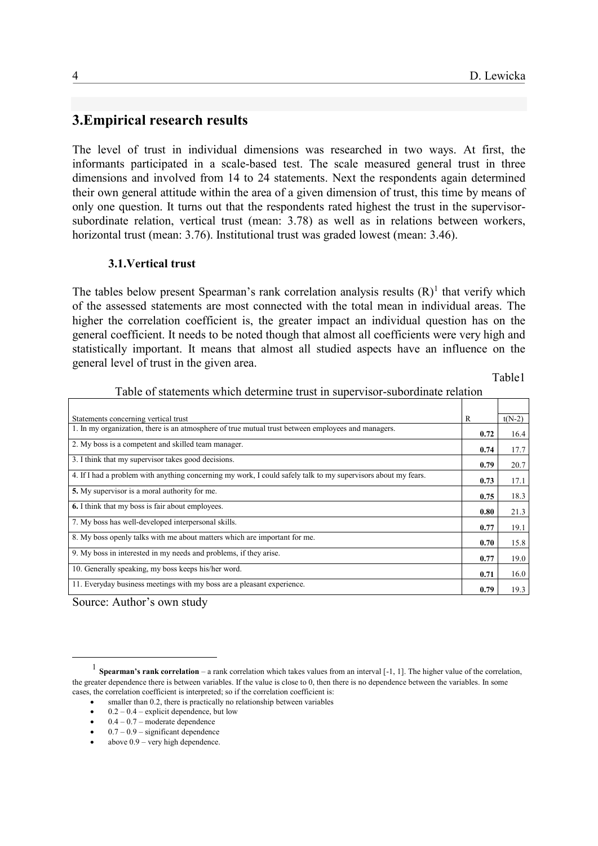# **3.Empirical research results**

The level of trust in individual dimensions was researched in two ways. At first, the informants participated in a scale-based test. The scale measured general trust in three dimensions and involved from 14 to 24 statements. Next the respondents again determined their own general attitude within the area of a given dimension of trust, this time by means of only one question. It turns out that the respondents rated highest the trust in the supervisorsubordinate relation, vertical trust (mean: 3.78) as well as in relations between workers, horizontal trust (mean: 3.76). Institutional trust was graded lowest (mean: 3.46).

### **3.1.Vertical trust**

The tables below present Spearman's rank correlation analysis results  $(R)^1$  that verify which of the assessed statements are most connected with the total mean in individual areas. The higher the correlation coefficient is, the greater impact an individual question has on the general coefficient. It needs to be noted though that almost all coefficients were very high and statistically important. It means that almost all studied aspects have an influence on the general level of trust in the given area.

Table1

| Statements concerning vertical trust                                                                          | R    | $t(N-2)$ |
|---------------------------------------------------------------------------------------------------------------|------|----------|
| 1. In my organization, there is an atmosphere of true mutual trust between employees and managers.            | 0.72 | 16.4     |
| 2. My boss is a competent and skilled team manager.                                                           | 0.74 | 17.7     |
| 3. I think that my supervisor takes good decisions.                                                           | 0.79 | 20.7     |
| 4. If I had a problem with anything concerning my work, I could safely talk to my supervisors about my fears. | 0.73 | 17.1     |
| 5. My supervisor is a moral authority for me.                                                                 | 0.75 | 18.3     |
| 6. I think that my boss is fair about employees.                                                              | 0.80 | 21.3     |
| 7. My boss has well-developed interpersonal skills.                                                           | 0.77 | 19.1     |
| 8. My boss openly talks with me about matters which are important for me.                                     | 0.70 | 15.8     |
| 9. My boss in interested in my needs and problems, if they arise.                                             | 0.77 | 19.0     |
| 10. Generally speaking, my boss keeps his/her word.                                                           | 0.71 | 16.0     |
| 11. Everyday business meetings with my boss are a pleasant experience.                                        | 0.79 | 19.3     |

Table of statements which determine trust in supervisor-subordinate relation

Source: Author's own study

<u>.</u>

<sup>&</sup>lt;sup>1</sup> Spearman's rank correlation – a rank correlation which takes values from an interval [-1, 1]. The higher value of the correlation, the greater dependence there is between variables. If the value is close to 0, then there is no dependence between the variables. In some cases, the correlation coefficient is interpreted; so if the correlation coefficient is:

smaller than 0.2, there is practically no relationship between variables

 $\bullet$  0.2 – 0.4 – explicit dependence, but low

0.4 – 0.7 – moderate dependence

 $\bullet$  0.7 – 0.9 – significant dependence

above 0.9 – very high dependence.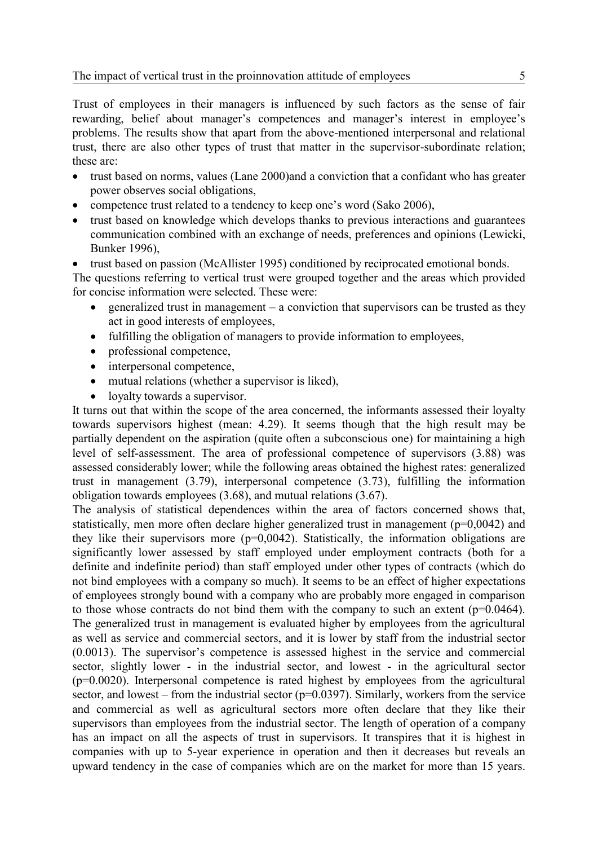Trust of employees in their managers is influenced by such factors as the sense of fair rewarding, belief about manager's competences and manager's interest in employee's problems. The results show that apart from the above-mentioned interpersonal and relational trust, there are also other types of trust that matter in the supervisor-subordinate relation; these are:

- trust based on norms, values (Lane 2000)and a conviction that a confidant who has greater power observes social obligations,
- competence trust related to a tendency to keep one's word (Sako 2006),
- trust based on knowledge which develops thanks to previous interactions and guarantees communication combined with an exchange of needs, preferences and opinions (Lewicki, Bunker 1996),
- trust based on passion (McAllister 1995) conditioned by reciprocated emotional bonds.

The questions referring to vertical trust were grouped together and the areas which provided for concise information were selected. These were:

- generalized trust in management a conviction that supervisors can be trusted as they act in good interests of employees,
- fulfilling the obligation of managers to provide information to employees,
- professional competence,
- interpersonal competence,
- mutual relations (whether a supervisor is liked),
- loyalty towards a supervisor.

It turns out that within the scope of the area concerned, the informants assessed their loyalty towards supervisors highest (mean: 4.29). It seems though that the high result may be partially dependent on the aspiration (quite often a subconscious one) for maintaining a high level of self-assessment. The area of professional competence of supervisors (3.88) was assessed considerably lower; while the following areas obtained the highest rates: generalized trust in management (3.79), interpersonal competence (3.73), fulfilling the information obligation towards employees (3.68), and mutual relations (3.67).

The analysis of statistical dependences within the area of factors concerned shows that, statistically, men more often declare higher generalized trust in management (p=0,0042) and they like their supervisors more  $(p=0.0042)$ . Statistically, the information obligations are significantly lower assessed by staff employed under employment contracts (both for a definite and indefinite period) than staff employed under other types of contracts (which do not bind employees with a company so much). It seems to be an effect of higher expectations of employees strongly bound with a company who are probably more engaged in comparison to those whose contracts do not bind them with the company to such an extent  $(p=0.0464)$ . The generalized trust in management is evaluated higher by employees from the agricultural as well as service and commercial sectors, and it is lower by staff from the industrial sector (0.0013). The supervisor's competence is assessed highest in the service and commercial sector, slightly lower - in the industrial sector, and lowest - in the agricultural sector (p=0.0020). Interpersonal competence is rated highest by employees from the agricultural sector, and lowest – from the industrial sector ( $p=0.0397$ ). Similarly, workers from the service and commercial as well as agricultural sectors more often declare that they like their supervisors than employees from the industrial sector. The length of operation of a company has an impact on all the aspects of trust in supervisors. It transpires that it is highest in companies with up to 5-year experience in operation and then it decreases but reveals an upward tendency in the case of companies which are on the market for more than 15 years.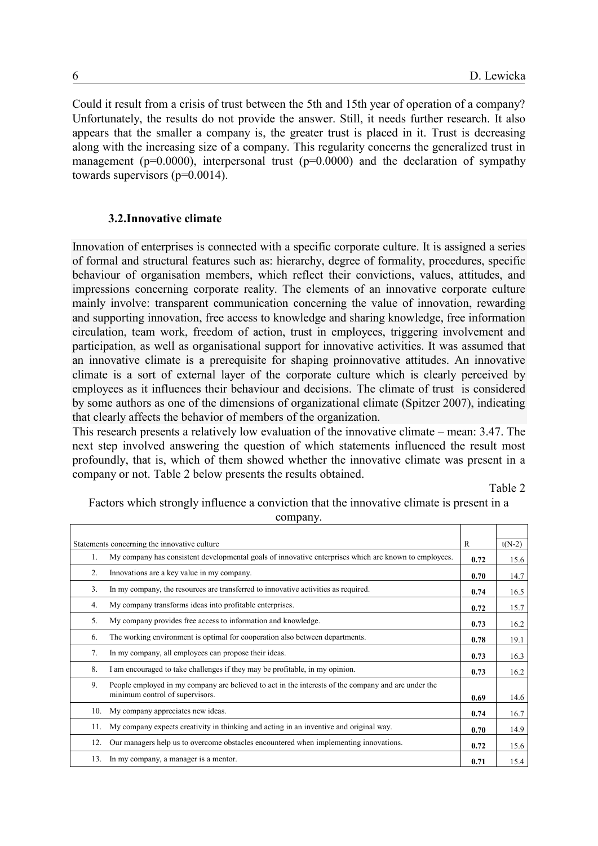Could it result from a crisis of trust between the 5th and 15th year of operation of a company? Unfortunately, the results do not provide the answer. Still, it needs further research. It also appears that the smaller a company is, the greater trust is placed in it. Trust is decreasing along with the increasing size of a company. This regularity concerns the generalized trust in management ( $p=0.0000$ ), interpersonal trust ( $p=0.0000$ ) and the declaration of sympathy towards supervisors (p=0.0014).

### **3.2.Innovative climate**

Innovation of enterprises is connected with a specific corporate culture. It is assigned a series of formal and structural features such as: hierarchy, degree of formality, procedures, specific behaviour of organisation members, which reflect their convictions, values, attitudes, and impressions concerning corporate reality. The elements of an innovative corporate culture mainly involve: transparent communication concerning the value of innovation, rewarding and supporting innovation, free access to knowledge and sharing knowledge, free information circulation, team work, freedom of action, trust in employees, triggering involvement and participation, as well as organisational support for innovative activities. It was assumed that an innovative climate is a prerequisite for shaping proinnovative attitudes. An innovative climate is a sort of external layer of the corporate culture which is clearly perceived by employees as it influences their behaviour and decisions. The climate of trust is considered by some authors as one of the dimensions of organizational climate (Spitzer 2007), indicating that clearly affects the behavior of members of the organization.

This research presents a relatively low evaluation of the innovative climate – mean: 3.47. The next step involved answering the question of which statements influenced the result most profoundly, that is, which of them showed whether the innovative climate was present in a company or not. Table 2 below presents the results obtained.

Table 2

Factors which strongly influence a conviction that the innovative climate is present in a company.

| Statements concerning the innovative culture |                                                                                                                                        |      |      |  |
|----------------------------------------------|----------------------------------------------------------------------------------------------------------------------------------------|------|------|--|
| 1.                                           | My company has consistent developmental goals of innovative enterprises which are known to employees.                                  | 0.72 | 15.6 |  |
| 2.                                           | Innovations are a key value in my company.                                                                                             | 0.70 | 14.7 |  |
| 3 <sub>1</sub>                               | In my company, the resources are transferred to innovative activities as required.                                                     | 0.74 | 16.5 |  |
| 4.                                           | My company transforms ideas into profitable enterprises.                                                                               | 0.72 | 15.7 |  |
| 5.                                           | My company provides free access to information and knowledge.                                                                          | 0.73 | 16.2 |  |
| 6.                                           | The working environment is optimal for cooperation also between departments.                                                           | 0.78 | 19.1 |  |
| 7.                                           | In my company, all employees can propose their ideas.                                                                                  | 0.73 | 16.3 |  |
| 8.                                           | I am encouraged to take challenges if they may be profitable, in my opinion.                                                           | 0.73 | 16.2 |  |
| 9.                                           | People employed in my company are believed to act in the interests of the company and are under the<br>minimum control of supervisors. | 0.69 | 14.6 |  |
| 10.                                          | My company appreciates new ideas.                                                                                                      | 0.74 | 16.7 |  |
| 11.                                          | My company expects creativity in thinking and acting in an inventive and original way.                                                 | 0.70 | 14.9 |  |
| 12.                                          | Our managers help us to overcome obstacles encountered when implementing innovations.                                                  | 0.72 | 15.6 |  |
| 13.                                          | In my company, a manager is a mentor.                                                                                                  | 0.71 | 15.4 |  |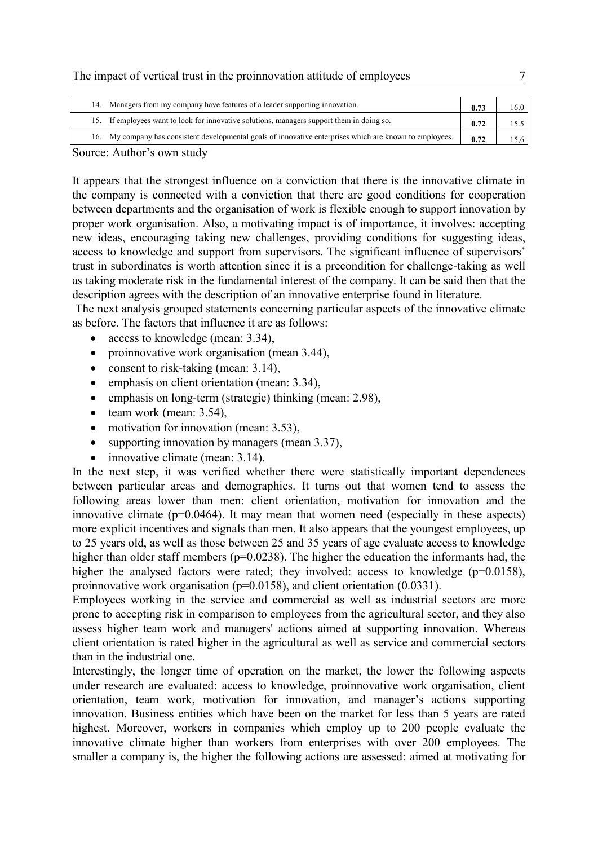| The impact of vertical trust in the proinnovation attitude of employees |  |
|-------------------------------------------------------------------------|--|
|                                                                         |  |

|  | Managers from my company have features of a leader supporting innovation.                                 | 0.73 | 16.0 |
|--|-----------------------------------------------------------------------------------------------------------|------|------|
|  | 15. If employees want to look for innovative solutions, managers support them in doing so.                | 0.72 |      |
|  | 16. My company has consistent developmental goals of innovative enterprises which are known to employees. | 0.72 |      |

Source: Author's own study

It appears that the strongest influence on a conviction that there is the innovative climate in the company is connected with a conviction that there are good conditions for cooperation between departments and the organisation of work is flexible enough to support innovation by proper work organisation. Also, a motivating impact is of importance, it involves: accepting new ideas, encouraging taking new challenges, providing conditions for suggesting ideas, access to knowledge and support from supervisors. The significant influence of supervisors' trust in subordinates is worth attention since it is a precondition for challenge-taking as well as taking moderate risk in the fundamental interest of the company. It can be said then that the description agrees with the description of an innovative enterprise found in literature.

The next analysis grouped statements concerning particular aspects of the innovative climate as before. The factors that influence it are as follows:

- access to knowledge (mean: 3.34),
- proinnovative work organisation (mean 3.44),
- consent to risk-taking (mean:  $3.14$ ),
- emphasis on client orientation (mean: 3.34),
- emphasis on long-term (strategic) thinking (mean: 2.98),
- $\bullet$  team work (mean: 3.54),
- motivation for innovation (mean: 3.53),
- supporting innovation by managers (mean 3.37),
- $\bullet$  innovative climate (mean: 3.14).

In the next step, it was verified whether there were statistically important dependences between particular areas and demographics. It turns out that women tend to assess the following areas lower than men: client orientation, motivation for innovation and the innovative climate ( $p=0.0464$ ). It may mean that women need (especially in these aspects) more explicit incentives and signals than men. It also appears that the youngest employees, up to 25 years old, as well as those between 25 and 35 years of age evaluate access to knowledge higher than older staff members (p=0.0238). The higher the education the informants had, the higher the analysed factors were rated; they involved: access to knowledge (p=0.0158), proinnovative work organisation (p=0.0158), and client orientation (0.0331).

Employees working in the service and commercial as well as industrial sectors are more prone to accepting risk in comparison to employees from the agricultural sector, and they also assess higher team work and managers' actions aimed at supporting innovation. Whereas client orientation is rated higher in the agricultural as well as service and commercial sectors than in the industrial one.

Interestingly, the longer time of operation on the market, the lower the following aspects under research are evaluated: access to knowledge, proinnovative work organisation, client orientation, team work, motivation for innovation, and manager's actions supporting innovation. Business entities which have been on the market for less than 5 years are rated highest. Moreover, workers in companies which employ up to 200 people evaluate the innovative climate higher than workers from enterprises with over 200 employees. The smaller a company is, the higher the following actions are assessed: aimed at motivating for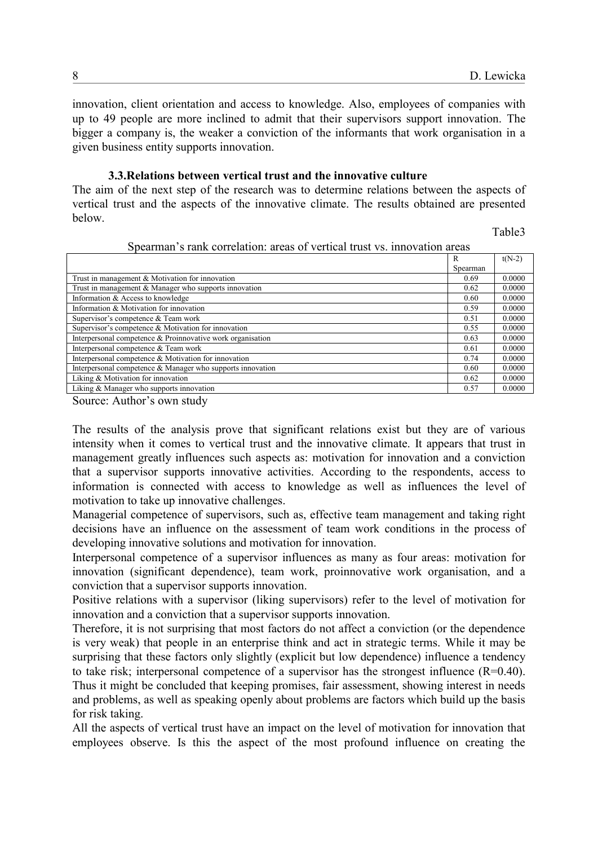innovation, client orientation and access to knowledge. Also, employees of companies with up to 49 people are more inclined to admit that their supervisors support innovation. The bigger a company is, the weaker a conviction of the informants that work organisation in a given business entity supports innovation.

#### **3.3.Relations between vertical trust and the innovative culture**

The aim of the next step of the research was to determine relations between the aspects of vertical trust and the aspects of the innovative climate. The results obtained are presented below.

Table3

|  | Spearman's rank correlation: areas of vertical trust vs. innovation areas |  |  |  |  |
|--|---------------------------------------------------------------------------|--|--|--|--|
|  |                                                                           |  |  |  |  |

|                                                            | R        | $t(N-2)$ |
|------------------------------------------------------------|----------|----------|
|                                                            | Spearman |          |
| Trust in management $&$ Motivation for innovation          | 0.69     | 0.0000   |
| Trust in management $&$ Manager who supports innovation    | 0.62     | 0.0000   |
| Information & Access to knowledge                          | 0.60     | 0.0000   |
| Information & Motivation for innovation                    | 0.59     | 0.0000   |
| Supervisor's competence & Team work                        | 0.51     | 0.0000   |
| Supervisor's competence $&$ Motivation for innovation      | 0.55     | 0.0000   |
| Interpersonal competence & Proinnovative work organisation | 0.63     | 0.0000   |
| Interpersonal competence & Team work                       | 0.61     | 0.0000   |
| Interpersonal competence & Motivation for innovation       | 0.74     | 0.0000   |
| Interpersonal competence & Manager who supports innovation | 0.60     | 0.0000   |
| Liking & Motivation for innovation                         | 0.62     | 0.0000   |
| Liking & Manager who supports innovation                   | 0.57     | 0.0000   |

Source: Author's own study

The results of the analysis prove that significant relations exist but they are of various intensity when it comes to vertical trust and the innovative climate. It appears that trust in management greatly influences such aspects as: motivation for innovation and a conviction that a supervisor supports innovative activities. According to the respondents, access to information is connected with access to knowledge as well as influences the level of motivation to take up innovative challenges.

Managerial competence of supervisors, such as, effective team management and taking right decisions have an influence on the assessment of team work conditions in the process of developing innovative solutions and motivation for innovation.

Interpersonal competence of a supervisor influences as many as four areas: motivation for innovation (significant dependence), team work, proinnovative work organisation, and a conviction that a supervisor supports innovation.

Positive relations with a supervisor (liking supervisors) refer to the level of motivation for innovation and a conviction that a supervisor supports innovation.

Therefore, it is not surprising that most factors do not affect a conviction (or the dependence is very weak) that people in an enterprise think and act in strategic terms. While it may be surprising that these factors only slightly (explicit but low dependence) influence a tendency to take risk; interpersonal competence of a supervisor has the strongest influence (R=0.40). Thus it might be concluded that keeping promises, fair assessment, showing interest in needs and problems, as well as speaking openly about problems are factors which build up the basis for risk taking.

All the aspects of vertical trust have an impact on the level of motivation for innovation that employees observe. Is this the aspect of the most profound influence on creating the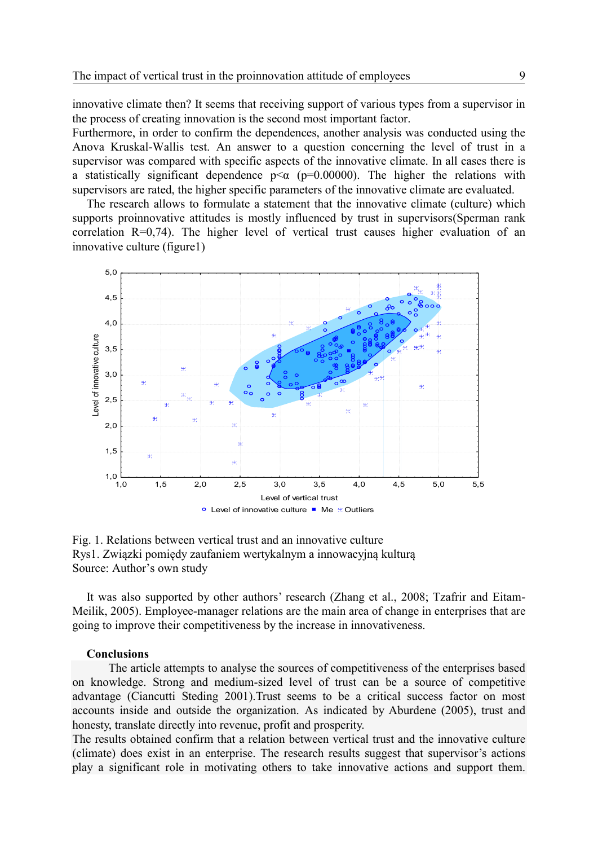innovative climate then? It seems that receiving support of various types from a supervisor in the process of creating innovation is the second most important factor.

Furthermore, in order to confirm the dependences, another analysis was conducted using the Anova Kruskal-Wallis test. An answer to a question concerning the level of trust in a supervisor was compared with specific aspects of the innovative climate. In all cases there is a statistically significant dependence  $p \le \alpha$  ( $p=0.00000$ ). The higher the relations with supervisors are rated, the higher specific parameters of the innovative climate are evaluated.

The research allows to formulate a statement that the innovative climate (culture) which supports proinnovative attitudes is mostly influenced by trust in supervisors(Sperman rank correlation R=0,74). The higher level of vertical trust causes higher evaluation of an innovative culture (figure1)



Fig. 1. Relations between vertical trust and an innovative culture Rys1. Związki pomiędy zaufaniem wertykalnym a innowacyjną kulturą Source: Author's own study

It was also supported by other authors' research (Zhang et al., 2008; Tzafrir and Eitam-Meilik, 2005). Employee-manager relations are the main area of change in enterprises that are going to improve their competitiveness by the increase in innovativeness.

#### **Conclusions**

The article attempts to analyse the sources of competitiveness of the enterprises based on knowledge. Strong and medium-sized level of trust can be a source of competitive advantage (Ciancutti Steding 2001).Trust seems to be a critical success factor on most accounts inside and outside the organization. As indicated by Aburdene (2005), trust and honesty, translate directly into revenue, profit and prosperity.

The results obtained confirm that a relation between vertical trust and the innovative culture (climate) does exist in an enterprise. The research results suggest that supervisor's actions play a significant role in motivating others to take innovative actions and support them.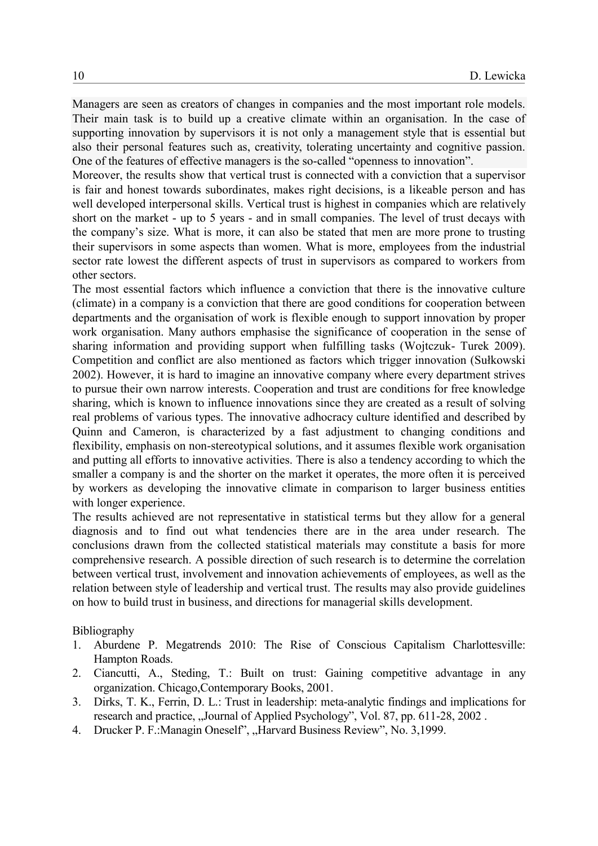Managers are seen as creators of changes in companies and the most important role models. Their main task is to build up a creative climate within an organisation. In the case of supporting innovation by supervisors it is not only a management style that is essential but also their personal features such as, creativity, tolerating uncertainty and cognitive passion. One of the features of effective managers is the so-called "openness to innovation".

Moreover, the results show that vertical trust is connected with a conviction that a supervisor is fair and honest towards subordinates, makes right decisions, is a likeable person and has well developed interpersonal skills. Vertical trust is highest in companies which are relatively short on the market - up to 5 years - and in small companies. The level of trust decays with the company's size. What is more, it can also be stated that men are more prone to trusting their supervisors in some aspects than women. What is more, employees from the industrial sector rate lowest the different aspects of trust in supervisors as compared to workers from other sectors.

The most essential factors which influence a conviction that there is the innovative culture (climate) in a company is a conviction that there are good conditions for cooperation between departments and the organisation of work is flexible enough to support innovation by proper work organisation. Many authors emphasise the significance of cooperation in the sense of sharing information and providing support when fulfilling tasks (Wojtczuk- Turek 2009). Competition and conflict are also mentioned as factors which trigger innovation (Sułkowski 2002). However, it is hard to imagine an innovative company where every department strives to pursue their own narrow interests. Cooperation and trust are conditions for free knowledge sharing, which is known to influence innovations since they are created as a result of solving real problems of various types. The innovative adhocracy culture identified and described by Quinn and Cameron, is characterized by a fast adjustment to changing conditions and flexibility, emphasis on non-stereotypical solutions, and it assumes flexible work organisation and putting all efforts to innovative activities. There is also a tendency according to which the smaller a company is and the shorter on the market it operates, the more often it is perceived by workers as developing the innovative climate in comparison to larger business entities with longer experience.

The results achieved are not representative in statistical terms but they allow for a general diagnosis and to find out what tendencies there are in the area under research. The conclusions drawn from the collected statistical materials may constitute a basis for more comprehensive research. A possible direction of such research is to determine the correlation between vertical trust, involvement and innovation achievements of employees, as well as the relation between style of leadership and vertical trust. The results may also provide guidelines on how to build trust in business, and directions for managerial skills development.

Bibliography

- 1. Aburdene P. Megatrends 2010: The Rise of Conscious Capitalism Charlottesville: Hampton Roads.
- 2. Ciancutti, A., Steding, T.: Built on trust: Gaining competitive advantage in any organization. Chicago,Contemporary Books, 2001.
- 3. Dirks, T. K., Ferrin, D. L.: Trust in leadership: meta-analytic findings and implications for research and practice, "Journal of Applied Psychology", Vol. 87, pp. 611-28, 2002.
- 4. Drucker P. F.: Managin Oneself", "Harvard Business Review", No. 3,1999.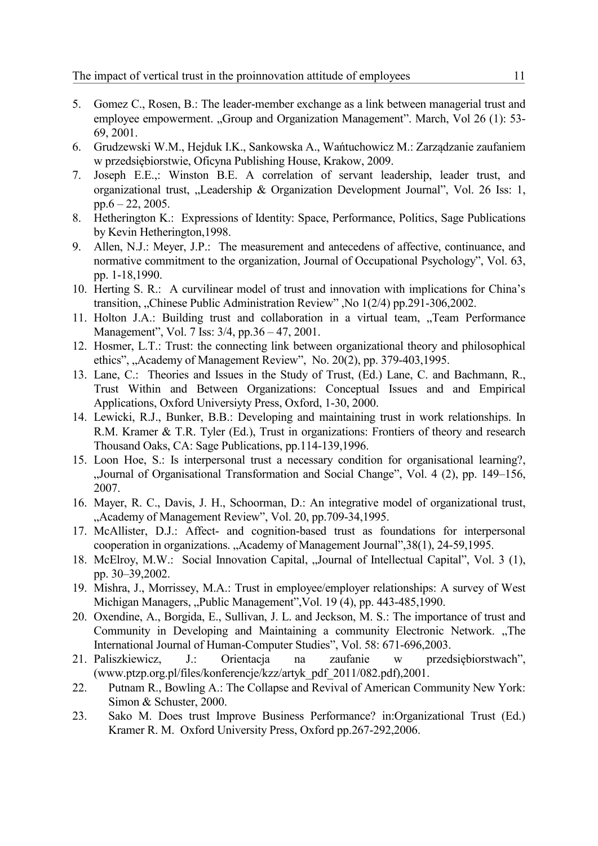- 5. Gomez C., Rosen, B.: The leader-member exchange as a link between managerial trust and employee empowerment. "Group and Organization Management". March, Vol 26 (1): 53-69, 2001.
- 6. Grudzewski W.M., Hejduk I.K., Sankowska A., Wańtuchowicz M.: Zarządzanie zaufaniem w przedsiębiorstwie, Oficyna Publishing House, Krakow, 2009.
- 7. Joseph E.E.,: Winston B.E. A correlation of servant leadership, leader trust, and organizational trust, "Leadership & Organization Development Journal", Vol. 26 Iss: 1,  $pp.6 - 22, 2005.$
- 8. Hetherington K.: [Expressions of Identity: Space, Performance, Politics,](http://www.goodreads.com/book/show/908123.Expressions_of_Identity) Sage Publications by [Kevin Hetherington,](http://www.goodreads.com/author/show/464842.Kevin_Hetherington)1998.
- 9. Allen, N.J.: Meyer, J.P.: The measurement and antecedens of affective, continuance, and normative commitment to the organization, Journal of Occupational Psychology", Vol. 63, pp. 1-18,1990.
- 10. Herting S. R.: A curvilinear model of trust and innovation with implications for China's transition, "Chinese Public Administration Review" , No 1(2/4) pp.291-306,2002.
- 11. Holton J.A.: Building trust and collaboration in a virtual team, "Team Performance Management", Vol. 7 Iss: 3/4, pp.36 – 47, 2001.
- 12. Hosmer, L.T.: Trust: the connecting link between organizational theory and philosophical ethics", "Academy of Management Review", No. 20(2), pp. 379-403,1995.
- 13. Lane, C.: Theories and Issues in the Study of Trust, (Ed.) Lane, C. and Bachmann, R., Trust Within and Between Organizations: Conceptual Issues and and Empirical Applications, Oxford Universiyty Press, Oxford, 1-30, 2000.
- 14. Lewicki, R.J., Bunker, B.B.: Developing and maintaining trust in work relationships. In R.M. Kramer & T.R. Tyler (Ed.), Trust in organizations: Frontiers of theory and research Thousand Oaks, CA: Sage Publications, pp.114-139,1996.
- 15. Loon Hoe, S.: Is interpersonal trust a necessary condition for organisational learning?, "Journal of Organisational Transformation and Social Change", Vol. 4 (2), pp. 149–156, 2007.
- 16. Mayer, R. C., Davis, J. H., Schoorman, D.: An integrative model of organizational trust, "Academy of Management Review", Vol. 20, pp.709-34,1995.
- 17. McAllister, D.J.: Affect- and cognition-based trust as foundations for interpersonal cooperation in organizations. "Academy of Management Journal", 38(1), 24-59, 1995.
- 18. McElroy, M.W.: Social Innovation Capital, "Journal of Intellectual Capital", Vol. 3 (1), pp. 30–39,2002.
- 19. Mishra, J., Morrissey, M.A.: Trust in employee/employer relationships: A survey of West Michigan Managers, "Public Management", Vol. 19 (4), pp. 443-485, 1990.
- 20. Oxendine, A., Borgida, E., Sullivan, J. L. and Jeckson, M. S.: The importance of trust and Community in Developing and Maintaining a community Electronic Network. "The International Journal of Human-Computer Studies", Vol. 58: 671-696,2003.
- 21. Paliszkiewicz, J.: Orientacja na zaufanie w przedsiębiorstwach", [\(www.ptzp.org.pl/files/konferencje/kzz/artyk\\_pdf\\_2011/082.pdf\)](http://www.ptzp.org.pl/files/konferencje/kzz/artyk_pdf_2011/082.pdf),2001.
- 22. Putnam R., Bowling A.: The Collapse and Revival of American Community New York: Simon & Schuster, 2000.
- 23. Sako M. Does trust Improve Business Performance? in:Organizational Trust (Ed.) Kramer R. M. Oxford University Press, Oxford pp.267-292,2006.